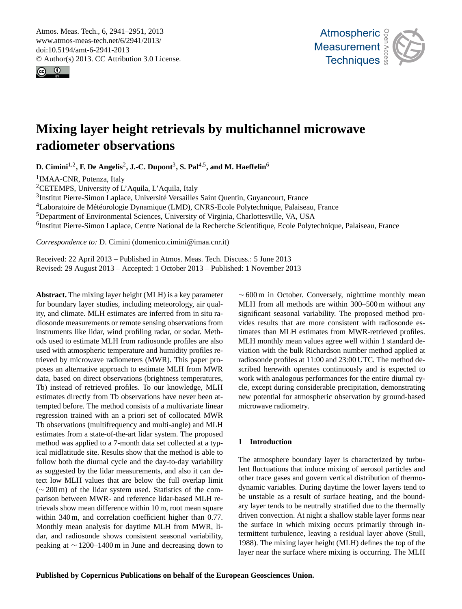<span id="page-0-0"></span>Atmos. Meas. Tech., 6, 2941–2951, 2013 www.atmos-meas-tech.net/6/2941/2013/ doi:10.5194/amt-6-2941-2013 © Author(s) 2013. CC Attribution 3.0 License.





# **Mixing layer height retrievals by multichannel microwave radiometer observations**

**D.** Cimini<sup>1,2</sup>, F. De Angelis<sup>2</sup>, J.-C. Dupont<sup>3</sup>, S. Pal<sup>4,5</sup>, and M. Haeffelin<sup>6</sup>

<sup>1</sup>IMAA-CNR, Potenza, Italy

<sup>2</sup>CETEMPS, University of L'Aquila, L'Aquila, Italy

<sup>3</sup>Institut Pierre-Simon Laplace, Université Versailles Saint Quentin, Guyancourt, France

<sup>4</sup>Laboratoire de Météorologie Dynamique (LMD), CNRS-Ecole Polytechnique, Palaiseau, France

<sup>5</sup>Department of Environmental Sciences, University of Virginia, Charlottesville, VA, USA

<sup>6</sup>Institut Pierre-Simon Laplace, Centre National de la Recherche Scientifique, Ecole Polytechnique, Palaiseau, France

*Correspondence to:* D. Cimini (domenico.cimini@imaa.cnr.it)

Received: 22 April 2013 – Published in Atmos. Meas. Tech. Discuss.: 5 June 2013 Revised: 29 August 2013 – Accepted: 1 October 2013 – Published: 1 November 2013

**Abstract.** The mixing layer height (MLH) is a key parameter for boundary layer studies, including meteorology, air quality, and climate. MLH estimates are inferred from in situ radiosonde measurements or remote sensing observations from instruments like lidar, wind profiling radar, or sodar. Methods used to estimate MLH from radiosonde profiles are also used with atmospheric temperature and humidity profiles retrieved by microwave radiometers (MWR). This paper proposes an alternative approach to estimate MLH from MWR data, based on direct observations (brightness temperatures, Tb) instead of retrieved profiles. To our knowledge, MLH estimates directly from Tb observations have never been attempted before. The method consists of a multivariate linear regression trained with an a priori set of collocated MWR Tb observations (multifrequency and multi-angle) and MLH estimates from a state-of-the-art lidar system. The proposed method was applied to a 7-month data set collected at a typical midlatitude site. Results show that the method is able to follow both the diurnal cycle and the day-to-day variability as suggested by the lidar measurements, and also it can detect low MLH values that are below the full overlap limit (∼ 200 m) of the lidar system used. Statistics of the comparison between MWR- and reference lidar-based MLH retrievals show mean difference within 10 m, root mean square within 340 m, and correlation coefficient higher than 0.77. Monthly mean analysis for daytime MLH from MWR, lidar, and radiosonde shows consistent seasonal variability, peaking at ∼ 1200–1400 m in June and decreasing down to

 $~\sim$  600 m in October. Conversely, nighttime monthly mean MLH from all methods are within 300–500 m without any significant seasonal variability. The proposed method provides results that are more consistent with radiosonde estimates than MLH estimates from MWR-retrieved profiles. MLH monthly mean values agree well within 1 standard deviation with the bulk Richardson number method applied at radiosonde profiles at 11:00 and 23:00 UTC. The method described herewith operates continuously and is expected to work with analogous performances for the entire diurnal cycle, except during considerable precipitation, demonstrating new potential for atmospheric observation by ground-based microwave radiometry.

# **1 Introduction**

The atmosphere boundary layer is characterized by turbulent fluctuations that induce mixing of aerosol particles and other trace gases and govern vertical distribution of thermodynamic variables. During daytime the lower layers tend to be unstable as a result of surface heating, and the boundary layer tends to be neutrally stratified due to the thermally driven convection. At night a shallow stable layer forms near the surface in which mixing occurs primarily through intermittent turbulence, leaving a residual layer above (Stull, 1988). The mixing layer height (MLH) defines the top of the layer near the surface where mixing is occurring. The MLH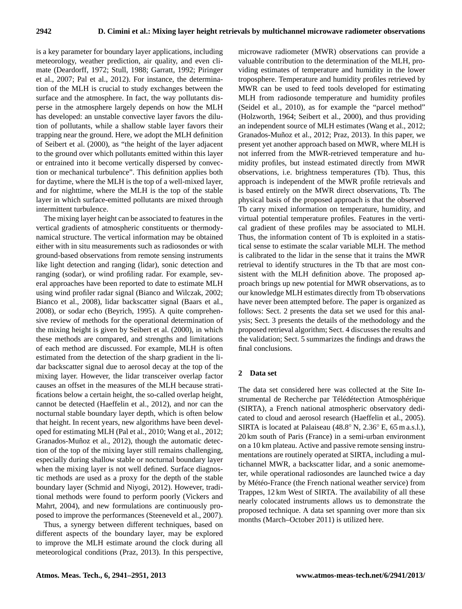is a key parameter for boundary layer applications, including meteorology, weather prediction, air quality, and even climate (Deardorff, 1972; Stull, 1988; Garratt, 1992; Piringer et al., 2007; Pal et al., 2012). For instance, the determination of the MLH is crucial to study exchanges between the surface and the atmosphere. In fact, the way pollutants disperse in the atmosphere largely depends on how the MLH has developed: an unstable convective layer favors the dilution of pollutants, while a shallow stable layer favors their trapping near the ground. Here, we adopt the MLH definition of Seibert et al. (2000), as "the height of the layer adjacent to the ground over which pollutants emitted within this layer or entrained into it become vertically dispersed by convection or mechanical turbulence". This definition applies both for daytime, where the MLH is the top of a well-mixed layer, and for nighttime, where the MLH is the top of the stable layer in which surface-emitted pollutants are mixed through intermittent turbulence.

The mixing layer height can be associated to features in the vertical gradients of atmospheric constituents or thermodynamical structure. The vertical information may be obtained either with in situ measurements such as radiosondes or with ground-based observations from remote sensing instruments like light detection and ranging (lidar), sonic detection and ranging (sodar), or wind profiling radar. For example, several approaches have been reported to date to estimate MLH using wind profiler radar signal (Bianco and Wilczak, 2002; Bianco et al., 2008), lidar backscatter signal (Baars et al., 2008), or sodar echo (Beyrich, 1995). A quite comprehensive review of methods for the operational determination of the mixing height is given by Seibert et al. (2000), in which these methods are compared, and strengths and limitations of each method are discussed. For example, MLH is often estimated from the detection of the sharp gradient in the lidar backscatter signal due to aerosol decay at the top of the mixing layer. However, the lidar transceiver overlap factor causes an offset in the measures of the MLH because stratifications below a certain height, the so-called overlap height, cannot be detected (Haeffelin et al., 2012), and nor can the nocturnal stable boundary layer depth, which is often below that height. In recent years, new algorithms have been developed for estimating MLH (Pal et al., 2010; Wang et al., 2012; Granados-Muñoz et al., 2012), though the automatic detection of the top of the mixing layer still remains challenging, especially during shallow stable or nocturnal boundary layer when the mixing layer is not well defined. Surface diagnostic methods are used as a proxy for the depth of the stable boundary layer (Schmid and Niyogi, 2012). However, traditional methods were found to perform poorly (Vickers and Mahrt, 2004), and new formulations are continuously proposed to improve the performances (Steeneveld et al., 2007).

Thus, a synergy between different techniques, based on different aspects of the boundary layer, may be explored to improve the MLH estimate around the clock during all meteorological conditions (Praz, 2013). In this perspective, microwave radiometer (MWR) observations can provide a valuable contribution to the determination of the MLH, providing estimates of temperature and humidity in the lower troposphere. Temperature and humidity profiles retrieved by MWR can be used to feed tools developed for estimating MLH from radiosonde temperature and humidity profiles (Seidel et al., 2010), as for example the "parcel method" (Holzworth, 1964; Seibert et al., 2000), and thus providing an independent source of MLH estimates (Wang et al., 2012; Granados-Muñoz et al., 2012; Praz, 2013). In this paper, we present yet another approach based on MWR, where MLH is not inferred from the MWR-retrieved temperature and humidity profiles, but instead estimated directly from MWR observations, i.e. brightness temperatures (Tb). Thus, this approach is independent of the MWR profile retrievals and is based entirely on the MWR direct observations, Tb. The physical basis of the proposed approach is that the observed Tb carry mixed information on temperature, humidity, and virtual potential temperature profiles. Features in the vertical gradient of these profiles may be associated to MLH. Thus, the information content of Tb is exploited in a statistical sense to estimate the scalar variable MLH. The method is calibrated to the lidar in the sense that it trains the MWR retrieval to identify structures in the Tb that are most consistent with the MLH definition above. The proposed approach brings up new potential for MWR observations, as to our knowledge MLH estimates directly from Tb observations have never been attempted before. The paper is organized as follows: Sect. 2 presents the data set we used for this analysis; Sect. 3 presents the details of the methodology and the proposed retrieval algorithm; Sect. 4 discusses the results and the validation; Sect. 5 summarizes the findings and draws the final conclusions.

## **2 Data set**

The data set considered here was collected at the Site Instrumental de Recherche par Télédétection Atmosphérique (SIRTA), a French national atmospheric observatory dedicated to cloud and aerosol research (Haeffelin et al., 2005). SIRTA is located at Palaiseau (48.8◦ N, 2.36◦ E, 65 m a.s.l.), 20 km south of Paris (France) in a semi-urban environment on a 10 km plateau. Active and passive remote sensing instrumentations are routinely operated at SIRTA, including a multichannel MWR, a backscatter lidar, and a sonic anemometer, while operational radiosondes are launched twice a day by Météo-France (the French national weather service) from Trappes, 12 km West of SIRTA. The availability of all these nearly colocated instruments allows us to demonstrate the proposed technique. A data set spanning over more than six months (March–October 2011) is utilized here.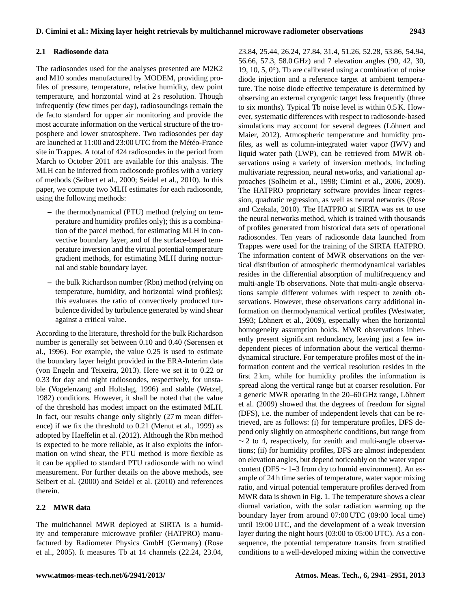## **2.1 Radiosonde data**

The radiosondes used for the analyses presented are M2K2 and M10 sondes manufactured by MODEM, providing profiles of pressure, temperature, relative humidity, dew point temperature, and horizontal wind at 2 s resolution. Though infrequently (few times per day), radiosoundings remain the de facto standard for upper air monitoring and provide the most accurate information on the vertical structure of the troposphere and lower stratosphere. Two radiosondes per day are launched at 11:00 and 23:00 UTC from the Météo-France site in Trappes. A total of 424 radiosondes in the period from March to October 2011 are available for this analysis. The MLH can be inferred from radiosonde profiles with a variety of methods (Seibert et al., 2000; Seidel et al., 2010). In this paper, we compute two MLH estimates for each radiosonde, using the following methods:

- **–** the thermodynamical (PTU) method (relying on temperature and humidity profiles only); this is a combination of the parcel method, for estimating MLH in convective boundary layer, and of the surface-based temperature inversion and the virtual potential temperature gradient methods, for estimating MLH during nocturnal and stable boundary layer.
- **–** the bulk Richardson number (Rbn) method (relying on temperature, humidity, and horizontal wind profiles); this evaluates the ratio of convectively produced turbulence divided by turbulence generated by wind shear against a critical value.

According to the literature, threshold for the bulk Richardson number is generally set between 0.10 and 0.40 (Sørensen et al., 1996). For example, the value 0.25 is used to estimate the boundary layer height provided in the ERA-Interim data (von Engeln and Teixeira, 2013). Here we set it to 0.22 or 0.33 for day and night radiosondes, respectively, for unstable (Vogelenzang and Holtslag, 1996) and stable (Wetzel, 1982) conditions. However, it shall be noted that the value of the threshold has modest impact on the estimated MLH. In fact, our results change only slightly (27 m mean difference) if we fix the threshold to 0.21 (Menut et al., 1999) as adopted by Haeffelin et al. (2012). Although the Rbn method is expected to be more reliable, as it also exploits the information on wind shear, the PTU method is more flexible as it can be applied to standard PTU radiosonde with no wind measurement. For further details on the above methods, see Seibert et al. (2000) and Seidel et al. (2010) and references therein.

## **2.2 MWR data**

The multichannel MWR deployed at SIRTA is a humidity and temperature microwave profiler (HATPRO) manufactured by Radiometer Physics GmbH (Germany) (Rose et al., 2005). It measures Tb at 14 channels (22.24, 23.04,

23.84, 25.44, 26.24, 27.84, 31.4, 51.26, 52.28, 53.86, 54.94, 56.66, 57.3, 58.0 GHz) and 7 elevation angles (90, 42, 30, 19, 10, 5, 0°). Th are calibrated using a combination of noise diode injection and a reference target at ambient temperature. The noise diode effective temperature is determined by observing an external cryogenic target less frequently (three to six months). Typical Tb noise level is within 0.5 K. However, systematic differences with respect to radiosonde-based simulations may account for several degrees (Löhnert and Maier, 2012). Atmospheric temperature and humidity profiles, as well as column-integrated water vapor (IWV) and liquid water path (LWP), can be retrieved from MWR observations using a variety of inversion methods, including multivariate regression, neural networks, and variational approaches (Solheim et al., 1998; Cimini et al., 2006, 2009). The HATPRO proprietary software provides linear regression, quadratic regression, as well as neural networks (Rose and Czekala, 2010). The HATPRO at SIRTA was set to use the neural networks method, which is trained with thousands of profiles generated from historical data sets of operational radiosondes. Ten years of radiosonde data launched from Trappes were used for the training of the SIRTA HATPRO. The information content of MWR observations on the vertical distribution of atmospheric thermodynamical variables resides in the differential absorption of multifrequency and multi-angle Tb observations. Note that multi-angle observations sample different volumes with respect to zenith observations. However, these observations carry additional information on thermodynamical vertical profiles (Westwater, 1993; Löhnert et al., 2009), especially when the horizontal homogeneity assumption holds. MWR observations inherently present significant redundancy, leaving just a few independent pieces of information about the vertical thermodynamical structure. For temperature profiles most of the information content and the vertical resolution resides in the first 2 km, while for humidity profiles the information is spread along the vertical range but at coarser resolution. For a generic MWR operating in the 20–60 GHz range, Löhnert et al. (2009) showed that the degrees of freedom for signal (DFS), i.e. the number of independent levels that can be retrieved, are as follows: (i) for temperature profiles, DFS depend only slightly on atmospheric conditions, but range from  $\sim$  2 to 4, respectively, for zenith and multi-angle observations; (ii) for humidity profiles, DFS are almost independent on elevation angles, but depend noticeably on the water vapor content (DFS  $\sim$  1–3 from dry to humid environment). An example of 24 h time series of temperature, water vapor mixing ratio, and virtual potential temperature profiles derived from MWR data is shown in Fig. 1. The temperature shows a clear diurnal variation, with the solar radiation warming up the boundary layer from around 07:00 UTC (09:00 local time) until 19:00 UTC, and the development of a weak inversion layer during the night hours (03:00 to 05:00 UTC). As a consequence, the potential temperature transits from stratified conditions to a well-developed mixing within the convective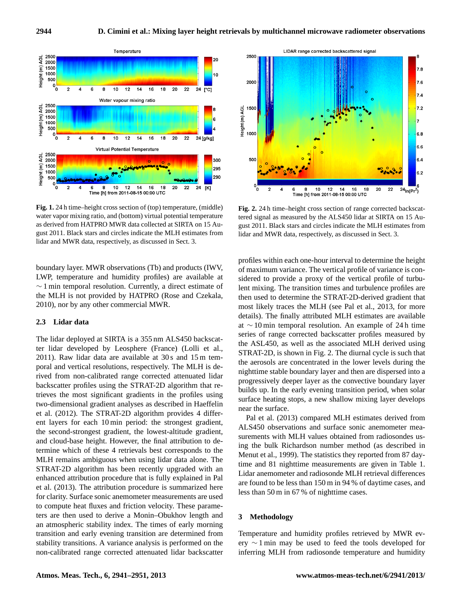

water vapor mixing ratio, and (bottom) virtual potential temperature value as derived from HATPRO MWR data collected at SIRTA on 15 Au- $_{\rm gus}$ gust 2011. Black stars and circles indicate the MLH estimates from lida lidar and MWR data, respectively, as discussed in Sect. 3. **Fig. 1.** 24 h time–height cross section of (top) temperature, (middle)

boundary layer. MWR observations (Tb) and products (IWV, LWP, temperature and humidity profiles) are available at ∼ 1 min temporal resolution. Currently, a direct estimate of the MLH is not provided by HATPRO (Rose and Czekala, 2010), nor by any other commercial MWR.

## **2.3 Lidar data**

The lidar deployed at SIRTA is a 355 nm ALS450 backscatter lidar developed by Leosphere (France) (Lolli et al., 2011). Raw lidar data are available at 30 s and 15 m temporal and vertical resolutions, respectively. The MLH is derived from non-calibrated range corrected attenuated lidar backscatter profiles using the STRAT-2D algorithm that retrieves the most significant gradients in the profiles using two-dimensional gradient analyses as described in Haeffelin et al. (2012). The STRAT-2D algorithm provides 4 different layers for each 10 min period: the strongest gradient, the second-strongest gradient, the lowest-altitude gradient, and cloud-base height. However, the final attribution to determine which of these 4 retrievals best corresponds to the MLH remains ambiguous when using lidar data alone. The STRAT-2D algorithm has been recently upgraded with an enhanced attribution procedure that is fully explained in Pal et al. (2013). The attribution procedure is summarized here for clarity. Surface sonic anemometer measurements are used to compute heat fluxes and friction velocity. These parameters are then used to derive a Monin–Obukhov length and an atmospheric stability index. The times of early morning transition and early evening transition are determined from stability transitions. A variance analysis is performed on the non-calibrated range corrected attenuated lidar backscatter



 $T_{12}$ : 2. 24-h univeled by the ALS450 lidar at SIRTA on 15 Au-<sup>1-</sup> gust 2011. Black stars and circles indicate the MLH estimates from m lidar and MWR data, respectively, as discussed in Sect. 3. **Fig. 2.** 24 h time–height cross section of range corrected backscat-

progressively deeper layer as the convective boundary layer profiles within each one-hour interval to determine the height of maximum variance. The vertical profile of variance is considered to provide a proxy of the vertical profile of turbulent mixing. The transition times and turbulence profiles are then used to determine the STRAT-2D-derived gradient that most likely traces the MLH (see Pal et al., 2013, for more details). The finally attributed MLH estimates are available at ∼ 10 min temporal resolution. An example of 24 h time series of range corrected backscatter profiles measured by the ASL450, as well as the associated MLH derived using STRAT-2D, is shown in Fig. 2. The diurnal cycle is such that the aerosols are concentrated in the lower levels during the nighttime stable boundary layer and then are dispersed into a builds up. In the early evening transition period, when solar surface heating stops, a new shallow mixing layer develops near the surface.

Pal et al. (2013) compared MLH estimates derived from ALS450 observations and surface sonic anemometer measurements with MLH values obtained from radiosondes using the bulk Richardson number method (as described in Menut et al., 1999). The statistics they reported from 87 daytime and 81 nighttime measurements are given in Table 1. Lidar anemometer and radiosonde MLH retrieval differences are found to be less than 150 m in 94 % of daytime cases, and less than 50 m in 67 % of nighttime cases.

#### **3 Methodology**

Temperature and humidity profiles retrieved by MWR every ∼ 1 min may be used to feed the tools developed for inferring MLH from radiosonde temperature and humidity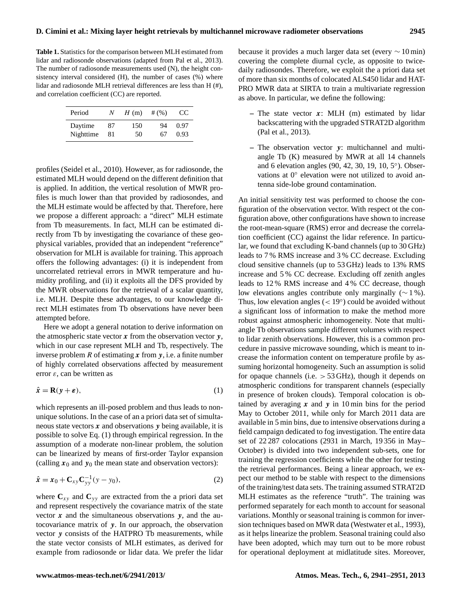**Table 1.** Statistics for the comparison between MLH estimated from lidar and radiosonde observations (adapted from Pal et al., 2013). The number of radiosonde measurements used (N), the height consistency interval considered (H), the number of cases (%) where lidar and radiosonde MLH retrieval differences are less than H (#), and correlation coefficient (CC) are reported.

| Period    | N  | H(m) | # $(%)$ | Œ    |
|-----------|----|------|---------|------|
| Daytime   | 87 | 150  | 94      | 0.97 |
| Nighttime | 81 | 50   | 67      | 0.93 |

profiles (Seidel et al., 2010). However, as for radiosonde, the estimated MLH would depend on the different definition that is applied. In addition, the vertical resolution of MWR profiles is much lower than that provided by radiosondes, and the MLH estimate would be affected by that. Therefore, here we propose a different approach: a "direct" MLH estimate from Tb measurements. In fact, MLH can be estimated directly from Tb by investigating the covariance of these geophysical variables, provided that an independent "reference" observation for MLH is available for training. This approach offers the following advantages: (i) it is independent from uncorrelated retrieval errors in MWR temperature and humidity profiling, and (ii) it exploits all the DFS provided by the MWR observations for the retrieval of a scalar quantity, i.e. MLH. Despite these advantages, to our knowledge direct MLH estimates from Tb observations have never been attempted before.

Here we adopt a general notation to derive information on the atmospheric state vector  $x$  from the observation vector  $y$ , which in our case represent MLH and Tb, respectively. The inverse problem R of estimating x from y, i.e. a finite number of highly correlated observations affected by measurement error  $\varepsilon$ , can be written as

<span id="page-4-0"></span>
$$
\hat{\mathbf{x}} = \mathbf{R}(\mathbf{y} + \boldsymbol{\varepsilon}),\tag{1}
$$

which represents an ill-posed problem and thus leads to nonunique solutions. In the case of an a priori data set of simultaneous state vectors  $x$  and observations  $y$  being available, it is possible to solve Eq. [\(1\)](#page-4-0) through empirical regression. In the assumption of a moderate non-linear problem, the solution can be linearized by means of first-order Taylor expansion (calling  $x_0$  and  $y_0$  the mean state and observation vectors):

$$
\hat{x} = x_0 + \mathbf{C}_{xy} \mathbf{C}_{yy}^{-1} (y - y_0),
$$
\n(2)

where  $C_{xy}$  and  $C_{yy}$  are extracted from the a priori data set and represent respectively the covariance matrix of the state vector  $x$  and the simultaneous observations  $y$ , and the autocovariance matrix of y. In our approach, the observation vector  $\nu$  consists of the HATPRO Tb measurements, while the state vector consists of MLH estimates, as derived for example from radiosonde or lidar data. We prefer the lidar because it provides a much larger data set (every ∼ 10 min) covering the complete diurnal cycle, as opposite to twicedaily radiosondes. Therefore, we exploit the a priori data set of more than six months of colocated ALS450 lidar and HAT-PRO MWR data at SIRTA to train a multivariate regression as above. In particular, we define the following:

- **–** The state vector x: MLH (m) estimated by lidar backscattering with the upgraded STRAT2D algorithm (Pal et al., 2013).
- **–** The observation vector y: multichannel and multiangle Tb (K) measured by MWR at all 14 channels and 6 elevation angles (90, 42, 30, 19, 10, 5◦ ). Observations at 0° elevation were not utilized to avoid antenna side-lobe ground contamination.

An initial sensitivity test was performed to choose the configuration of the observation vector. With respect ot the configuration above, other configurations have shown to increase the root-mean-square (RMS) error and decrease the correlation coefficient (CC) against the lidar reference. In particular, we found that excluding K-band channels (up to 30 GHz) leads to 7 % RMS increase and 3 % CC decrease. Excluding cloud sensitive channels (up to 53 GHz) leads to 13% RMS increase and 5 % CC decrease. Excluding off zenith angles leads to 12 % RMS increase and 4 % CC decrease, though low elevations angles contribute only marginally (∼ 1 %). Thus, low elevation angles  $(< 19°)$  could be avoided without a significant loss of information to make the method more robust against atmospheric inhomogeneity. Note that multiangle Tb observations sample different volumes with respect to lidar zenith observations. However, this is a common procedure in passive microwave sounding, which is meant to increase the information content on temperature profile by assuming horizontal homogeneity. Such an assumption is solid for opaque channels (i.e.  $>$  53 GHz), though it depends on atmospheric conditions for transparent channels (especially in presence of broken clouds). Temporal colocation is obtained by averaging  $x$  and  $y$  in 10 min bins for the period May to October 2011, while only for March 2011 data are available in 5 min bins, due to intensive observations during a field campaign dedicated to fog investigation. The entire data set of 22 287 colocations (2931 in March, 19 356 in May– October) is divided into two independent sub-sets, one for training the regression coefficients while the other for testing the retrieval performances. Being a linear approach, we expect our method to be stable with respect to the dimensions of the training/test data sets. The training assumed STRAT2D MLH estimates as the reference "truth". The training was performed separately for each month to account for seasonal variations. Monthly or seasonal training is common for inversion techniques based on MWR data (Westwater et al., 1993), as it helps linearize the problem. Seasonal training could also have been adopted, which may turn out to be more robust for operational deployment at midlatitude sites. Moreover,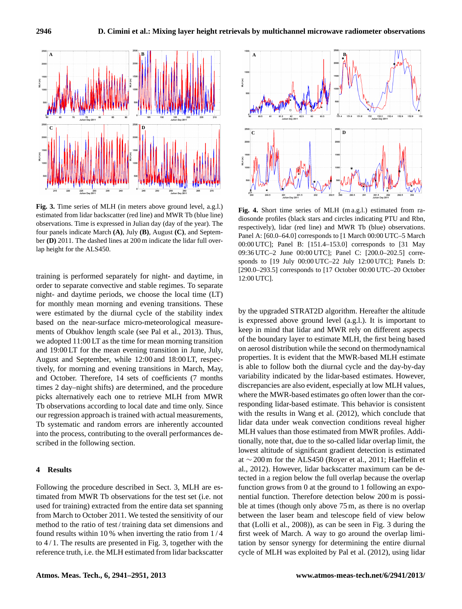

Fig. 3. Time series of MLH (in meters above ground level, a.g.l.) estimated from lidar backscatter (red line) and MWR Tb (blue line) observations. Time is expressed in Julian day (day of the year). The four panels indicate March **(A)**, July **(B)**, August **(C)**, and September **(D)** 2011. The dashed lines at 200 m indicate the lidar full overlap height for the ALS450.

were estimated by the diurnal cycle of the stability index training is performed separately for night- and daytime, in order to separate convective and stable regimes. To separate night- and daytime periods, we choose the local time (LT) for monthly mean morning and evening transitions. These based on the near-surface micro-meteorological measurements of Obukhov length scale (see Pal et al., 2013). Thus, we adopted 11:00 LT as the time for mean morning transition and 19:00 LT for the mean evening transition in June, July, August and September, while 12:00 and 18:00 LT, respectively, for morning and evening transitions in March, May, and October. Therefore, 14 sets of coefficients (7 months times 2 day–night shifts) are determined, and the procedure picks alternatively each one to retrieve MLH from MWR Tb observations according to local date and time only. Since our regression approach is trained with actual measurements, Tb systematic and random errors are inherently accounted into the process, contributing to the overall performances described in the following section.

#### **4 Results**

Following the procedure described in Sect. 3, MLH are estimated from MWR Tb observations for the test set (i.e. not used for training) extracted from the entire data set spanning from March to October 2011. We tested the sensitivity of our method to the ratio of test / training data set dimensions and found results within 10 % when inverting the ratio from 1 / 4 to  $4/1$ . The results are presented in Fig. 3, together with the reference truth, i.e. the MLH estimated from lidar backscatter



**Fig. 4.** Short time series of MLH (m a.g.l.) estimated from radiosonde profiles (black stars and circles indicating PTU and Rbn, respectively), lidar (red line) and MWR Tb (blue) observations. Panel A: [60.0–64.0] corresponds to [1 March 00:00 UTC–5 March 00:00 UTC]; Panel B: [151.4-153.0] corresponds to [31 May 09:36 UTC-2 June 00:00 UTC]; Panel C: [200.0-202.5] corresponds to [19 July 00:00 UTC-22 July 12:00 UTC]; Panels D: [290.0–293.5] corresponds to [17 October 00:00 UTC–20 October 12:00 UTC].

keep in mind that lidar and MWR rely on different aspects by the upgraded STRAT2D algorithm. Hereafter the altitude is expressed above ground level (a.g.l.). It is important to of the boundary layer to estimate MLH, the first being based on aerosol distribution while the second on thermodynamical properties. It is evident that the MWR-based MLH estimate is able to follow both the diurnal cycle and the day-by-day variability indicated by the lidar-based estimates. However, discrepancies are also evident, especially at low MLH values, where the MWR-based estimates go often lower than the corresponding lidar-based estimate. This behavior is consistent with the results in Wang et al. (2012), which conclude that lidar data under weak convection conditions reveal higher MLH values than those estimated from MWR profiles. Additionally, note that, due to the so-called lidar overlap limit, the lowest altitude of significant gradient detection is estimated at ∼ 200 m for the ALS450 (Royer et al., 2011; Haeffelin et al., 2012). However, lidar backscatter maximum can be detected in a region below the full overlap because the overlap function grows from 0 at the ground to 1 following an exponential function. Therefore detection below 200 m is possible at times (though only above 75 m, as there is no overlap between the laser beam and telescope field of view below that (Lolli et al., 2008)), as can be seen in Fig. 3 during the first week of March. A way to go around the overlap limitation by sensor synergy for determining the entire diurnal cycle of MLH was exploited by Pal et al. (2012), using lidar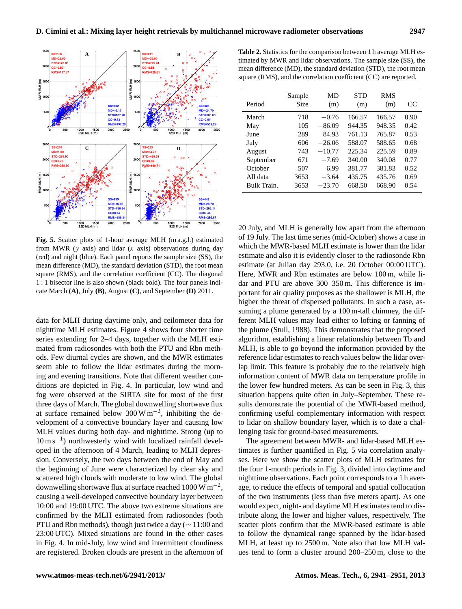

Fig. 5. Scatter plots of 1-hour average MLH (m a.g.l.) estimated from MWR (y axis) and lidar (x axis) observations during day (red) and night (blue). Each panel reports the sample size (SS), the mean difference (MD), the standard deviation (STD), the root mean square (RMS), and the correlation coefficient (CC). The diagonal 1 : 1 bisector line is also shown (black bold). The four panels indicate March **(A)**, July **(B)**, August **(C)**, and September **(D)** 2011.

nighttime MLH estimates. Figure 4 shows four shorter time data for MLH during daytime only, and ceilometer data for series extending for 2–4 days, together with the MLH estimated from radiosondes with both the PTU and Rbn methods. Few diurnal cycles are shown, and the MWR estimates seem able to follow the lidar estimates during the morning and evening transitions. Note that different weather conditions are depicted in Fig. 4. In particular, low wind and fog were observed at the SIRTA site for most of the first three days of March. The global downwelling shortwave flux at surface remained below  $300 \,\mathrm{W\,m^{-2}}$ , inhibiting the development of a convective boundary layer and causing low MLH values during both day- and nighttime. Strong (up to 10 m s−<sup>1</sup> ) northwesterly wind with localized rainfall developed in the afternoon of 4 March, leading to MLH depression. Conversely, the two days between the end of May and the beginning of June were characterized by clear sky and scattered high clouds with moderate to low wind. The global downwelling shortwave flux at surface reached  $1000 \,\mathrm{W\,m^{-2}}$ , causing a well-developed convective boundary layer between 10:00 and 19:00 UTC. The above two extreme situations are confirmed by the MLH estimated from radiosondes (both PTU and Rbn methods), though just twice a day (∼ 11:00 and 23:00 UTC). Mixed situations are found in the other cases in Fig. 4. In mid-July, low wind and intermittent cloudiness are registered. Broken clouds are present in the afternoon of

**Table 2.** Statistics for the comparison between 1 h average MLH estimated by MWR and lidar observations. The sample size (SS), the mean difference (MD), the standard deviation (STD), the root mean square (RMS), and the correlation coefficient (CC) are reported.

| Period      | Sample<br>Size | MD<br>(m) | STD<br>(m) | <b>RMS</b><br>(m) | CC.  |
|-------------|----------------|-----------|------------|-------------------|------|
| March       | 718            | $-0.76$   | 166.57     | 166.57            | 0.90 |
| May         | 105            | $-86.09$  | 944.35     | 948.35            | 0.42 |
| June        | 289            | 84.93     | 761.13     | 765.87            | 0.53 |
| July        | 606            | $-26.06$  | 588.07     | 588.65            | 0.68 |
| August      | 743            | $-10.77$  | 225.34     | 225.59            | 0.89 |
| September   | 671            | $-7.69$   | 340.00     | 340.08            | 0.77 |
| October     | 507            | 6.99      | 381.77     | 381.83            | 0.52 |
| All data    | 3653           | $-3.64$   | 435.75     | 435.76            | 0.69 |
| Bulk Train. | 3653           | $-23.70$  | 668.50     | 668.90            | 0.54 |

20 July, and MLH is generally low apart from the afternoon of 19 July. The last time series (mid-October) shows a case in which the MWR-based MLH estimate is lower than the lidar estimate and also it is evidently closer to the radiosonde Rbn estimate (at Julian day 293.0, i.e. 20 October 00:00 UTC). Here, MWR and Rbn estimates are below 100 m, while lidar and PTU are above 300–350 m. This difference is important for air quality purposes as the shallower is MLH, the higher the threat of dispersed pollutants. In such a case, assuming a plume generated by a 100 m-tall chimney, the different MLH values may lead either to lofting or fanning of the plume (Stull, 1988). This demonstrates that the proposed algorithm, establishing a linear relationship between Tb and MLH, is able to go beyond the information provided by the reference lidar estimates to reach values below the lidar overlap limit. This feature is probably due to the relatively high information content of MWR data on temperature profile in the lower few hundred meters. As can be seen in Fig. 3, this situation happens quite often in July–September. These results demonstrate the potential of the MWR-based method, confirming useful complementary information with respect to lidar on shallow boundary layer, which is to date a challenging task for ground-based measurements.

The agreement between MWR- and lidar-based MLH estimates is further quantified in Fig. 5 via correlation analyses. Here we show the scatter plots of MLH estimates for the four 1-month periods in Fig. 3, divided into daytime and nighttime observations. Each point corresponds to a 1 h average, to reduce the effects of temporal and spatial collocation of the two instruments (less than five meters apart). As one would expect, night- and daytime MLH estimates tend to distribute along the lower and higher values, respectively. The scatter plots confirm that the MWR-based estimate is able to follow the dynamical range spanned by the lidar-based MLH, at least up to 2500 m. Note also that low MLH values tend to form a cluster around 200–250 m, close to the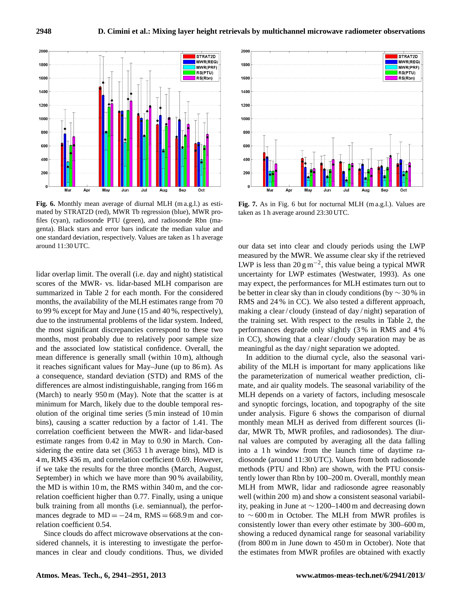

**Fig. 6.** Monthly mean average of diurnal MLH (m a.g.l.) as esti-<br> mated by STRAT2D (red), MWR Tb regression (blue), MWR pro-<br>class 1 h genta). Black stars and error bars indicate the median value and one standard deviation, respectively. Values are taken as 1 h average files (cyan), radiosonde PTU (green), and radiosonde Rbn (maaround 11:30 UTC.

lidar overlap limit. The overall (i.e. day and night) statistical scores of the MWR- vs. lidar-based MLH comparison are summarized in Table 2 for each month. For the considered months, the availability of the MLH estimates range from 70 to 99 % except for May and June (15 and 40 %, respectively), due to the instrumental problems of the lidar system. Indeed, the most significant discrepancies correspond to these two months, most probably due to relatively poor sample size and the associated low statistical confidence. Overall, the mean difference is generally small (within 10 m), although it reaches significant values for May–June (up to 86 m). As a consequence, standard deviation (STD) and RMS of the differences are almost indistinguishable, ranging from 166 m (March) to nearly 950 m (May). Note that the scatter is at minimum for March, likely due to the double temporal resolution of the original time series (5 min instead of 10 min bins), causing a scatter reduction by a factor of 1.41. The correlation coefficient between the MWR- and lidar-based estimate ranges from 0.42 in May to 0.90 in March. Considering the entire data set (3653 1 h average bins), MD is 4 m, RMS 436 m, and correlation coefficient 0.69. However, if we take the results for the three months (March, August, September) in which we have more than 90 % availability, the MD is within 10 m, the RMS within 340 m, and the correlation coefficient higher than 0.77. Finally, using a unique bulk training from all months (i.e. semiannual), the performances degrade to  $MD = -24$  m,  $RMS = 668.9$  m and correlation coefficient 0.54.

Since clouds do affect microwave observations at the considered channels, it is interesting to investigate the performances in clear and cloudy conditions. Thus, we divided



esti-**Fig. 7.** As in Fig. 6 but for nocturnal MLH (m a.g.l.). Values are pro-<br> $\frac{t}{\pi}$  taken as 1 h average around 23:30 UTC.

our data set into clear and cloudy periods using the LWP measured by the MWR. We assume clear sky if the retrieved LWP is less than 20  $\text{g m}^{-2}$ , this value being a typical MWR uncertainty for LWP estimates (Westwater, 1993). As one may expect, the performances for MLH estimates turn out to be better in clear sky than in cloudy conditions (by  $\sim$  30 % in RMS and 24 % in CC). We also tested a different approach, making a clear / cloudy (instead of day / night) separation of the training set. With respect to the results in Table 2, the performances degrade only slightly (3 % in RMS and 4 % in CC), showing that a clear / cloudy separation may be as meaningful as the day / night separation we adopted.

under analysis. Figure 6 shows the comparison of diurnal In addition to the diurnal cycle, also the seasonal variability of the MLH is important for many applications like the parameterization of numerical weather prediction, climate, and air quality models. The seasonal variability of the MLH depends on a variety of factors, including mesoscale and synoptic forcings, location, and topography of the site monthly mean MLH as derived from different sources (lidar, MWR Tb, MWR profiles, and radiosondes). The diurnal values are computed by averaging all the data falling into a 1 h window from the launch time of daytime radiosonde (around 11:30 UTC). Values from both radiosonde methods (PTU and Rbn) are shown, with the PTU consistently lower than Rbn by 100–200 m. Overall, monthly mean MLH from MWR, lidar and radiosonde agree reasonably well (within 200 m) and show a consistent seasonal variability, peaking in June at ∼ 1200–1400 m and decreasing down to ∼ 600 m in October. The MLH from MWR profiles is consistently lower than every other estimate by 300–600 m, showing a reduced dynamical range for seasonal variability (from 800 m in June down to 450 m in October). Note that the estimates from MWR profiles are obtained with exactly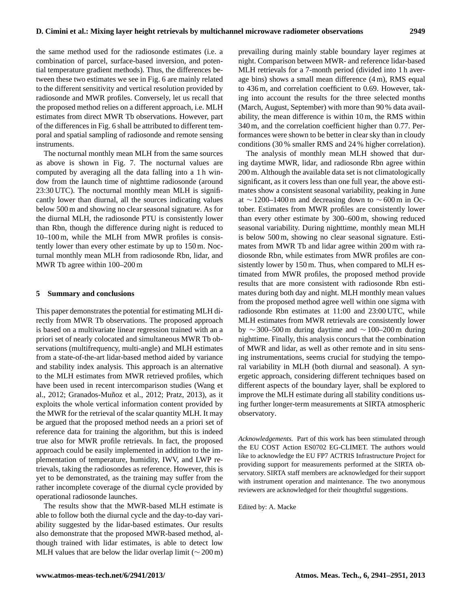the same method used for the radiosonde estimates (i.e. a combination of parcel, surface-based inversion, and potential temperature gradient methods). Thus, the differences between these two estimates we see in Fig. 6 are mainly related to the different sensitivity and vertical resolution provided by radiosonde and MWR profiles. Conversely, let us recall that the proposed method relies on a different approach, i.e. MLH estimates from direct MWR Tb observations. However, part of the differences in Fig. 6 shall be attributed to different temporal and spatial sampling of radiosonde and remote sensing instruments.

The nocturnal monthly mean MLH from the same sources as above is shown in Fig. 7. The nocturnal values are computed by averaging all the data falling into a 1 h window from the launch time of nighttime radiosonde (around 23:30 UTC). The nocturnal monthly mean MLH is significantly lower than diurnal, all the sources indicating values below 500 m and showing no clear seasonal signature. As for the diurnal MLH, the radiosonde PTU is consistently lower than Rbn, though the difference during night is reduced to 10–100 m, while the MLH from MWR profiles is consistently lower than every other estimate by up to 150 m. Nocturnal monthly mean MLH from radiosonde Rbn, lidar, and MWR Tb agree within 100–200 m

#### **5 Summary and conclusions**

This paper demonstrates the potential for estimating MLH directly from MWR Tb observations. The proposed approach is based on a multivariate linear regression trained with an a priori set of nearly colocated and simultaneous MWR Tb observations (multifrequency, multi-angle) and MLH estimates from a state-of-the-art lidar-based method aided by variance and stability index analysis. This approach is an alternative to the MLH estimates from MWR retrieved profiles, which have been used in recent intercomparison studies (Wang et al., 2012; Granados-Muñoz et al., 2012; Pratz, 2013), as it exploits the whole vertical information content provided by the MWR for the retrieval of the scalar quantity MLH. It may be argued that the proposed method needs an a priori set of reference data for training the algorithm, but this is indeed true also for MWR profile retrievals. In fact, the proposed approach could be easily implemented in addition to the implementation of temperature, humidity, IWV, and LWP retrievals, taking the radiosondes as reference. However, this is yet to be demonstrated, as the training may suffer from the rather incomplete coverage of the diurnal cycle provided by operational radiosonde launches.

The results show that the MWR-based MLH estimate is able to follow both the diurnal cycle and the day-to-day variability suggested by the lidar-based estimates. Our results also demonstrate that the proposed MWR-based method, although trained with lidar estimates, is able to detect low MLH values that are below the lidar overlap limit ( $\sim$  200 m) prevailing during mainly stable boundary layer regimes at night. Comparison between MWR- and reference lidar-based MLH retrievals for a 7-month period (divided into 1 h average bins) shows a small mean difference (4 m), RMS equal to 436 m, and correlation coefficient to 0.69. However, taking into account the results for the three selected months (March, August, September) with more than 90 % data availability, the mean difference is within 10 m, the RMS within 340 m, and the correlation coefficient higher than 0.77. Performances were shown to be better in clear sky than in cloudy conditions (30 % smaller RMS and 24 % higher correlation).

The analysis of monthly mean MLH showed that during daytime MWR, lidar, and radiosonde Rbn agree within 200 m. Although the available data set is not climatologically significant, as it covers less than one full year, the above estimates show a consistent seasonal variability, peaking in June at ∼ 1200–1400 m and decreasing down to  $\sim$  600 m in October. Estimates from MWR profiles are consistently lower than every other estimate by 300–600 m, showing reduced seasonal variability. During nighttime, monthly mean MLH is below 500 m, showing no clear seasonal signature. Estimates from MWR Tb and lidar agree within 200 m with radiosonde Rbn, while estimates from MWR profiles are consistently lower by 150 m. Thus, when compared to MLH estimated from MWR profiles, the proposed method provide results that are more consistent with radiosonde Rbn estimates during both day and night. MLH monthly mean values from the proposed method agree well within one sigma with radiosonde Rbn estimates at 11:00 and 23:00 UTC, while MLH estimates from MWR retrievals are consistently lower by ∼ 300–500 m during daytime and ∼ 100–200 m during nighttime. Finally, this analysis concurs that the combination of MWR and lidar, as well as other remote and in situ sensing instrumentations, seems crucial for studying the temporal variability in MLH (both diurnal and seasonal). A synergetic approach, considering different techniques based on different aspects of the boundary layer, shall be explored to improve the MLH estimate during all stability conditions using further longer-term measurements at SIRTA atmospheric observatory.

*Acknowledgements.* Part of this work has been stimulated through the EU COST Action ES0702 EG-CLIMET. The authors would like to acknowledge the EU FP7 ACTRIS Infrastructure Project for providing support for measurements performed at the SIRTA observatory. SIRTA staff members are acknowledged for their support with instrument operation and maintenance. The two anonymous reviewers are acknowledged for their thoughtful suggestions.

Edited by: A. Macke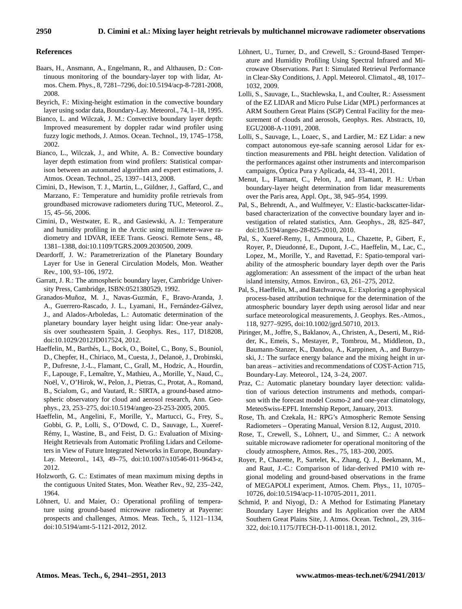## **References**

- Baars, H., Ansmann, A., Engelmann, R., and Althausen, D.: Continuous monitoring of the boundary-layer top with lidar, Atmos. Chem. Phys., 8, 7281–7296, doi[:10.5194/acp-8-7281-2008,](http://dx.doi.org/10.5194/acp-8-7281-2008) 2008.
- Beyrich, F.: Mixing-height estimation in the convective boundary layer using sodar data, Boundary-Lay. Meteorol., 74, 1–18, 1995.
- Bianco, L. and Wilczak, J. M.: Convective boundary layer depth: Improved measurement by doppler radar wind profiler using fuzzy logic methods, J. Atmos. Ocean. Technol., 19, 1745–1758, 2002.
- Bianco, L., Wilczak, J., and White, A. B.: Convective boundary layer depth estimation from wind profilers: Statistical comparison between an automated algorithm and expert estimations, J. Atmos. Ocean. Technol., 25, 1397–1413, 2008.
- Cimini, D., Hewison, T. J., Martin, L., Güldner, J., Gaffard, C., and Marzano, F.: Temperature and humidity profile retrievals from groundbased microwave radiometers during TUC, Meteorol. Z., 15, 45–56, 2006.
- Cimini, D., Westwater, E. R., and Gasiewski, A. J.: Temperature and humidity profiling in the Arctic using millimeter-wave radiometry and 1DVAR, IEEE Trans. Geosci. Remote Sens., 48, 1381–1388, doi[:10.1109/TGRS.2009.2030500,](http://dx.doi.org/10.1109/TGRS.2009.2030500) 2009.
- Deardorff, J. W.: Parametrerization of the Planetary Boundary Layer for Use in General Circulation Models, Mon. Weather Rev., 100, 93–106, 1972.
- Garratt, J. R.: The atmospheric boundary layer, Cambridge University Press, Cambridge, ISBN:0521380529, 1992.
- Granados-Muñoz, M. J., Navas-Guzmán, F., Bravo-Aranda, J. A., Guerrero-Rascado, J. L., Lyamani, H., Fernández-Gálvez, J., and Alados-Arboledas, L.: Automatic determination of the planetary boundary layer height using lidar: One-year analysis over southeastern Spain, J. Geophys. Res., 117, D18208, doi[:10.1029/2012JD017524,](http://dx.doi.org/10.1029/2012JD017524) 2012.
- Haeffelin, M., Barthès, L., Bock, O., Boitel, C., Bony, S., Bouniol, D., Chepfer, H., Chiriaco, M., Cuesta, J., Delanoë, J., Drobinski, P., Dufresne, J.-L., Flamant, C., Grall, M., Hodzic, A., Hourdin, F., Lapouge, F., Lemaître, Y., Mathieu, A., Morille, Y., Naud, C., Noël, V., O'Hirok, W., Pelon, J., Pietras, C., Protat, A., Romand, B., Scialom, G., and Vautard, R.: SIRTA, a ground-based atmospheric observatory for cloud and aerosol research, Ann. Geophys., 23, 253–275, doi[:10.5194/angeo-23-253-2005,](http://dx.doi.org/10.5194/angeo-23-253-2005) 2005.
- Haeffelin, M., Angelini, F., Morille, Y., Martucci, G., Frey, S., Gobbi, G. P., Lolli, S., O'Dowd, C. D., Sauvage, L., Xueref-Rémy, I., Wastine, B., and Feist, D. G.: Evaluation of Mixing-Height Retrievals from Automatic Profiling Lidars and Ceilometers in View of Future Integrated Networks in Europe, Boundary-Lay. Meteorol., 143, 49–75, doi[:10.1007/s10546-011-9643-z,](http://dx.doi.org/10.1007/s10546-011-9643-z) 2012.
- Holzworth, G. C.: Estimates of mean maximum mixing depths in the contiguous United States, Mon. Weather Rev., 92, 235–242, 1964.
- Löhnert, U. and Maier, O.: Operational profiling of temperature using ground-based microwave radiometry at Payerne: prospects and challenges, Atmos. Meas. Tech., 5, 1121–1134, doi[:10.5194/amt-5-1121-2012,](http://dx.doi.org/10.5194/amt-5-1121-2012) 2012.
- Löhnert, U., Turner, D., and Crewell, S.: Ground-Based Temperature and Humidity Profiling Using Spectral Infrared and Microwave Observations. Part I: Simulated Retrieval Performance in Clear-Sky Conditions, J. Appl. Meteorol. Climatol., 48, 1017– 1032, 2009.
- Lolli, S., Sauvage, L., Stachlewska, I., and Coulter, R.: Assessment of the EZ LIDAR and Micro Pulse Lidar (MPL) performances at ARM Southern Great Plains (SGP) Central Facility for the measurement of clouds and aerosols, Geophys. Res. Abstracts, 10, EGU2008-A-11091, 2008.
- Lolli, S., Sauvage, L., Loaec, S., and Lardier, M.: EZ Lidar: a new compact autonomous eye-safe scanning aerosol Lidar for extinction measurements and PBL height detection. Validation of the performances against other instruments and intercomparison campaigns, Óptica Pura y Aplicada, 44, 33–41, 2011.
- Menut, L., Flamant, C., Pelon, J., and Flamant, P. H.: Urban boundary-layer height determination from lidar measurements over the Paris area, Appl. Opt., 38, 945–954, 1999.
- Pal, S., Behrendt, A., and Wulfmeyer, V.: Elastic-backscatter-lidarbased characterization of the convective boundary layer and investigation of related statistics, Ann. Geophys., 28, 825–847, doi[:10.5194/angeo-28-825-2010,](http://dx.doi.org/10.5194/angeo-28-825-2010) 2010.
- Pal, S., Xueref-Remy, I., Ammoura, L., Chazette, P., Gibert, F., Royer, P., Dieudonné, E., Dupont, J.-C., Haeffelin, M., Lac, C., Lopez, M., Morille, Y., and Ravettad, F.: Spatio-temporal variability of the atmospheric boundary layer depth over the Paris agglomeration: An assessment of the impact of the urban heat island intensity, Atmos. Environ., 63, 261–275, 2012.
- Pal, S., Haeffelin, M., and Batchvarova, E.: Exploring a geophysical process-based attribution technique for the determination of the atmospheric boundary layer depth using aerosol lidar and near surface meteorological measurements, J. Geophys. Res.-Atmos., 118, 9277–9295, doi[:10.1002/jgrd.50710,](http://dx.doi.org/10.1002/jgrd.50710) 2013.
- Piringer, M., Joffre, S., Baklanov, A., Christen, A., Deserti, M., Ridder, K., Emeis, S., Mestayer, P., Tombrou, M., Middleton, D., Baumann-Stanzer, K., Dandou, A., Karppinen, A., and Burzynski, J.: The surface energy balance and the mixing height in urban areas – activities and recommendations of COST-Action 715, Boundary-Lay. Meteorol., 124, 3–24, 2007.
- Praz, C.: Automatic planetary boundary layer detection: validation of various detection instruments and methods, comparison with the forecast model Cosmo-2 and one-year climatology, MeteoSwiss-EPFL Internship Report, January, 2013.
- Rose, Th. and Czekala, H.: RPG's Atmospheric Remote Sensing Radiometers – Operating Manual, Version 8.12, August, 2010.
- Rose, T., Crewell, S., Löhnert, U., and Simmer, C.: A network suitable microwave radiometer for operational monitoring of the cloudy atmosphere, Atmos. Res., 75, 183–200, 2005.
- Royer, P., Chazette, P., Sartelet, K., Zhang, Q. J., Beekmann, M., and Raut, J.-C.: Comparison of lidar-derived PM10 with regional modeling and ground-based observations in the frame of MEGAPOLI experiment, Atmos. Chem. Phys., 11, 10705– 10726, doi[:10.5194/acp-11-10705-2011,](http://dx.doi.org/10.5194/acp-11-10705-2011) 2011.
- Schmid, P. and Niyogi, D.: A Method for Estimating Planetary Boundary Layer Heights and Its Application over the ARM Southern Great Plains Site, J. Atmos. Ocean. Technol., 29, 316– 322, doi[:10.1175/JTECH-D-11-00118.1,](http://dx.doi.org/10.1175/JTECH-D-11-00118.1) 2012.